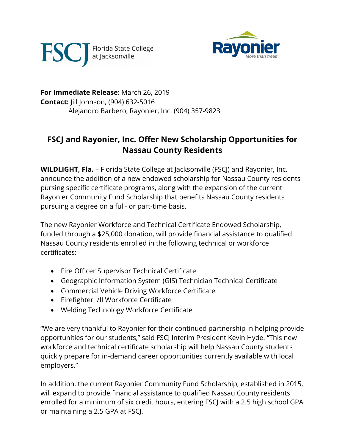



**For Immediate Release**: March 26, 2019 **Contact:** Jill Johnson, (904) 632-5016 Alejandro Barbero, Rayonier, Inc. (904) 357-9823

## **FSCJ and Rayonier, Inc. Offer New Scholarship Opportunities for Nassau County Residents**

**WILDLIGHT, Fla.** – Florida State College at Jacksonville (FSCJ) and Rayonier, Inc. announce the addition of a new endowed scholarship for Nassau County residents pursing specific certificate programs, along with the expansion of the current Rayonier Community Fund Scholarship that benefits Nassau County residents pursuing a degree on a full- or part-time basis.

The new Rayonier Workforce and Technical Certificate Endowed Scholarship, funded through a \$25,000 donation, will provide financial assistance to qualified Nassau County residents enrolled in the following technical or workforce certificates:

- Fire Officer Supervisor Technical Certificate
- Geographic Information System (GIS) Technician Technical Certificate
- Commercial Vehicle Driving Workforce Certificate
- Firefighter I/II Workforce Certificate
- Welding Technology Workforce Certificate

"We are very thankful to Rayonier for their continued partnership in helping provide opportunities for our students," said FSCJ Interim President Kevin Hyde. "This new workforce and technical certificate scholarship will help Nassau County students quickly prepare for in-demand career opportunities currently available with local employers."

In addition, the current Rayonier Community Fund Scholarship, established in 2015, will expand to provide financial assistance to qualified Nassau County residents enrolled for a minimum of six credit hours, entering FSCJ with a 2.5 high school GPA or maintaining a 2.5 GPA at FSCJ.